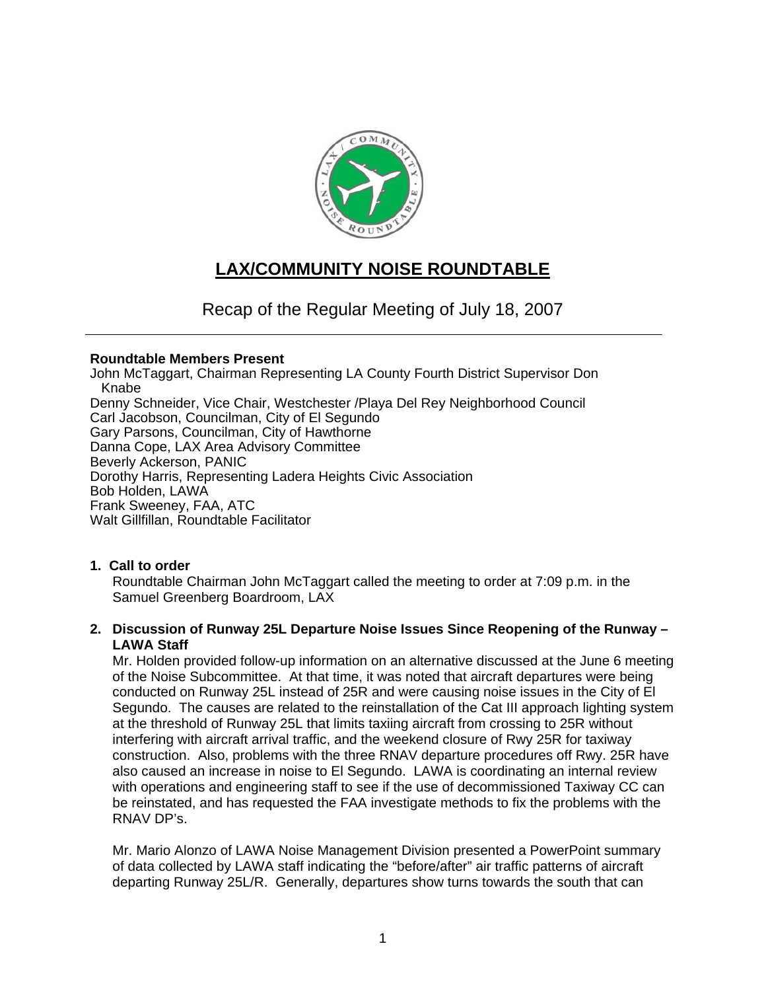

# **LAX/COMMUNITY NOISE ROUNDTABLE**

Recap of the Regular Meeting of July 18, 2007

#### **Roundtable Members Present**

John McTaggart, Chairman Representing LA County Fourth District Supervisor Don Knabe Denny Schneider, Vice Chair, Westchester /Playa Del Rey Neighborhood Council Carl Jacobson, Councilman, City of El Segundo Gary Parsons, Councilman, City of Hawthorne Danna Cope, LAX Area Advisory Committee Beverly Ackerson, PANIC Dorothy Harris, Representing Ladera Heights Civic Association Bob Holden, LAWA Frank Sweeney, FAA, ATC Walt Gillfillan, Roundtable Facilitator

# **1. Call to order**

Roundtable Chairman John McTaggart called the meeting to order at 7:09 p.m. in the Samuel Greenberg Boardroom, LAX

# **2. Discussion of Runway 25L Departure Noise Issues Since Reopening of the Runway – LAWA Staff**

Mr. Holden provided follow-up information on an alternative discussed at the June 6 meeting of the Noise Subcommittee. At that time, it was noted that aircraft departures were being conducted on Runway 25L instead of 25R and were causing noise issues in the City of El Segundo. The causes are related to the reinstallation of the Cat III approach lighting system at the threshold of Runway 25L that limits taxiing aircraft from crossing to 25R without interfering with aircraft arrival traffic, and the weekend closure of Rwy 25R for taxiway construction. Also, problems with the three RNAV departure procedures off Rwy. 25R have also caused an increase in noise to El Segundo. LAWA is coordinating an internal review with operations and engineering staff to see if the use of decommissioned Taxiway CC can be reinstated, and has requested the FAA investigate methods to fix the problems with the RNAV DP's.

Mr. Mario Alonzo of LAWA Noise Management Division presented a PowerPoint summary of data collected by LAWA staff indicating the "before/after" air traffic patterns of aircraft departing Runway 25L/R. Generally, departures show turns towards the south that can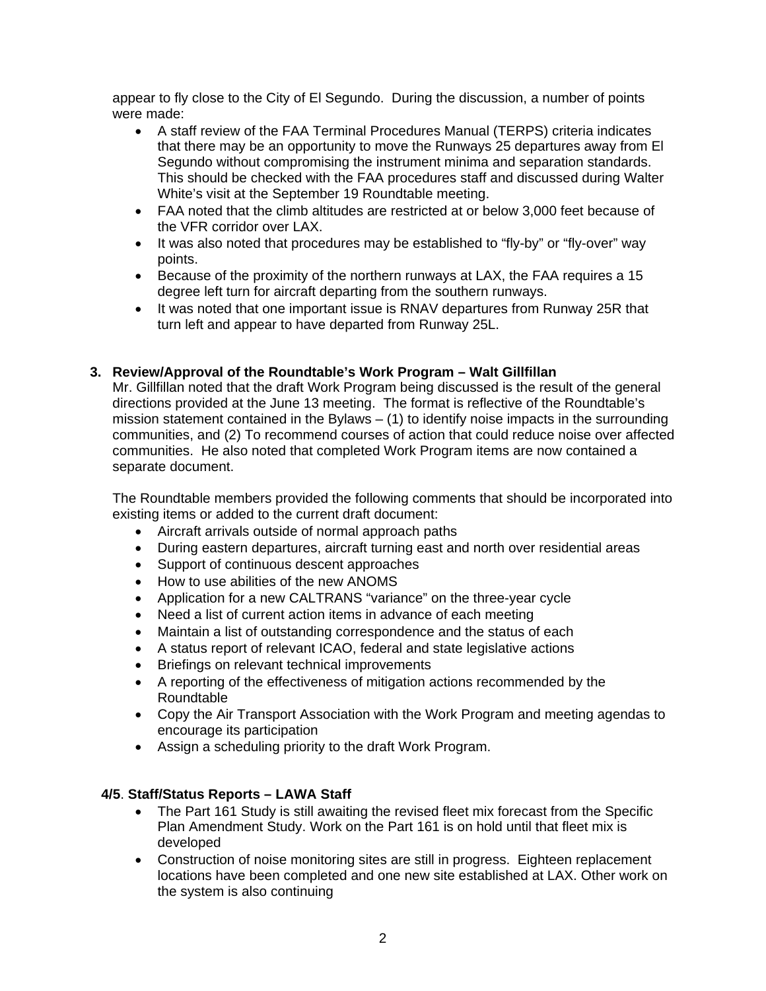appear to fly close to the City of El Segundo. During the discussion, a number of points were made:

- A staff review of the FAA Terminal Procedures Manual (TERPS) criteria indicates that there may be an opportunity to move the Runways 25 departures away from El Segundo without compromising the instrument minima and separation standards. This should be checked with the FAA procedures staff and discussed during Walter White's visit at the September 19 Roundtable meeting.
- FAA noted that the climb altitudes are restricted at or below 3,000 feet because of the VFR corridor over LAX.
- It was also noted that procedures may be established to "fly-by" or "fly-over" way points.
- Because of the proximity of the northern runways at LAX, the FAA requires a 15 degree left turn for aircraft departing from the southern runways.
- It was noted that one important issue is RNAV departures from Runway 25R that turn left and appear to have departed from Runway 25L.

# **3. Review/Approval of the Roundtable's Work Program – Walt Gillfillan**

Mr. Gillfillan noted that the draft Work Program being discussed is the result of the general directions provided at the June 13 meeting. The format is reflective of the Roundtable's mission statement contained in the Bylaws  $-$  (1) to identify noise impacts in the surrounding communities, and (2) To recommend courses of action that could reduce noise over affected communities. He also noted that completed Work Program items are now contained a separate document.

The Roundtable members provided the following comments that should be incorporated into existing items or added to the current draft document:

- Aircraft arrivals outside of normal approach paths
- During eastern departures, aircraft turning east and north over residential areas
- Support of continuous descent approaches
- How to use abilities of the new ANOMS
- Application for a new CALTRANS "variance" on the three-year cycle
- Need a list of current action items in advance of each meeting
- Maintain a list of outstanding correspondence and the status of each
- A status report of relevant ICAO, federal and state legislative actions
- Briefings on relevant technical improvements
- A reporting of the effectiveness of mitigation actions recommended by the Roundtable
- Copy the Air Transport Association with the Work Program and meeting agendas to encourage its participation
- Assign a scheduling priority to the draft Work Program.

#### **4/5**. **Staff/Status Reports – LAWA Staff**

- The Part 161 Study is still awaiting the revised fleet mix forecast from the Specific Plan Amendment Study. Work on the Part 161 is on hold until that fleet mix is developed
- Construction of noise monitoring sites are still in progress. Eighteen replacement locations have been completed and one new site established at LAX. Other work on the system is also continuing